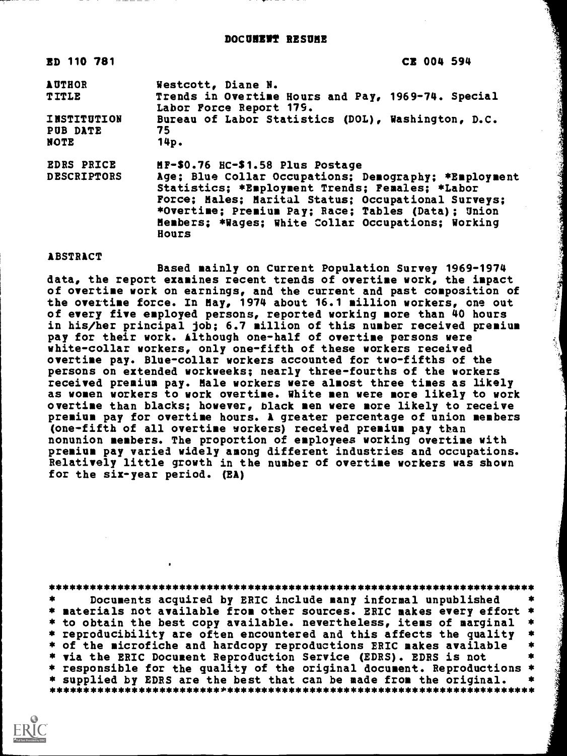DOCUNEWY RESUME

| ED 110 781                                    | CE 004 594                                                                                                                                                                                                                                                                           |
|-----------------------------------------------|--------------------------------------------------------------------------------------------------------------------------------------------------------------------------------------------------------------------------------------------------------------------------------------|
| <b>AUTHOR</b>                                 | Westcott, Diane N.                                                                                                                                                                                                                                                                   |
| TITLE                                         | Trends in Overtime Hours and Pay, 1969-74. Special<br>Labor Force Report 179.                                                                                                                                                                                                        |
| <b>INSTITUTION</b><br>PUB DATE<br><b>NOTE</b> | Bureau of Labor Statistics (DOL), Washington, D.C.<br>75<br>14p.                                                                                                                                                                                                                     |
| <b>EDRS PRICE</b>                             | MF-\$0.76 HC-\$1.58 Plus Postage                                                                                                                                                                                                                                                     |
| <b>DESCRIPTORS</b>                            | Age; Blue Collar Occupations; Demography; *Employment<br>Statistics; *Employment Trends; Females; *Labor<br>Force; Males; Marital Status; Occupational Surveys;<br>*Overtime; Premium Pay; Race; Tables (Data); Union<br>Members; *Wages; White Collar Occupations; Working<br>Hours |

**ABSTRACT** 

Based mainly on Current Population Survey 1969-1974 data, the report examines recent trends of overtime work, the impact of overtime work on earnings, and the current and past composition of the overtime force. In May, 1974 about 16.1 million workers, one out of every five employed persons, reported working more than 40 hours in his/her principal job; 6.7 million of this number received premium pay for their work. Although one-half of overtime persons were white-collar workers, only one-fifth of these workers received overtime pay. Blue-collar workers accounted for two-fifths of the persons on extended workweeks; nearly three-fourths of the workers received premium pay. Male workers were almost three times as likely as women workers to work overtime. White men were more likely to work overtime than blacks; however, black men were more likely to receive premium pay for overtime hours. A greater percentage of union members (one-fifth of all overtime workers) received premium pay than nonunion members. The proportion of employees working overtime with premium pay varied widely among different industries and occupations. Relatively little growth in the number of overtime workers was shown for the six-year period. (EA)

**Reader** 

Documents acquired by ERIC include many informal unpublished \* materials not available from other sources. ERIC makes every effort \* \* to obtain the best copy available. nevertheless, items of marginal \* reproducibility are often encountered and this affects the quality 金 of the microfiche and hardcopy reproductions ERIC makes available 金 \* via the ERIC Document Reproduction Service (EDRS). EDRS is not \* responsible for the quality of the original document. Reproductions \* \* supplied by EDRS are the best that can be made from the original. \*\*\*\*\*\*\*\*\*

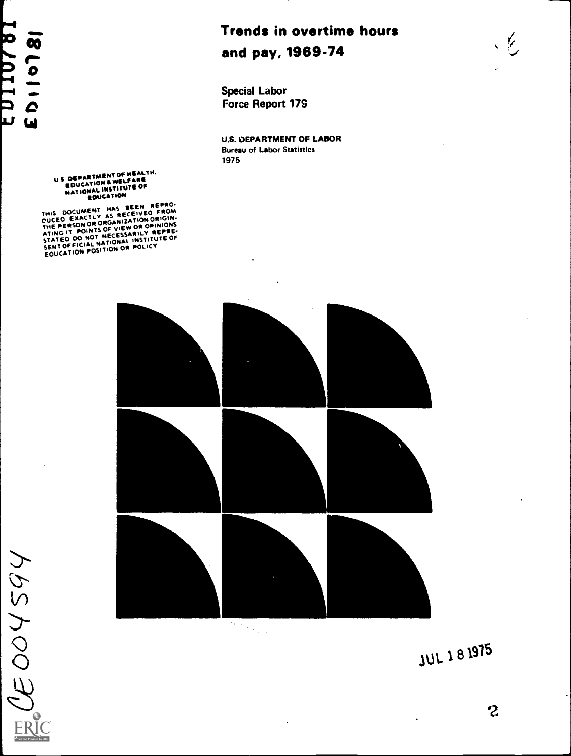# 18 Lolig<br>19 / DTI DT

## Trends in overtime hours and pay, 1969-74

Special Labor Force Report 179

U.S. DEPARTMENT OF LABOR Bureau of Labor Statistics 1975

US DEPARTMENT OF HEALTH,<br>EDUCATION & WELFARE<br>NATIONAL INSTITUTE OF

EDUCATION<br>THIS DOCUMENT HAS BECEIVED FROM<br>DUCED EXACTLY AS RECEIVED ORIGIN-<br>THE PERSON OR ORGANIZATION ORIGINIONS<br>ATING IT POINTS OF VIEW OR OPINIONS<br>ATING IT POINTS OF VIEW OR CERRE-STATED DO NOT NECESSARILY REPRE-SENT OFFICIAL NATIONAL INSULICY<br>EOUCATION POSITION OR POLICY INSTITUTE OF

 $\circ$  $\overline{O}$ 



 $\mathbb{R}^3$ 



2

 $\frac{1}{2}$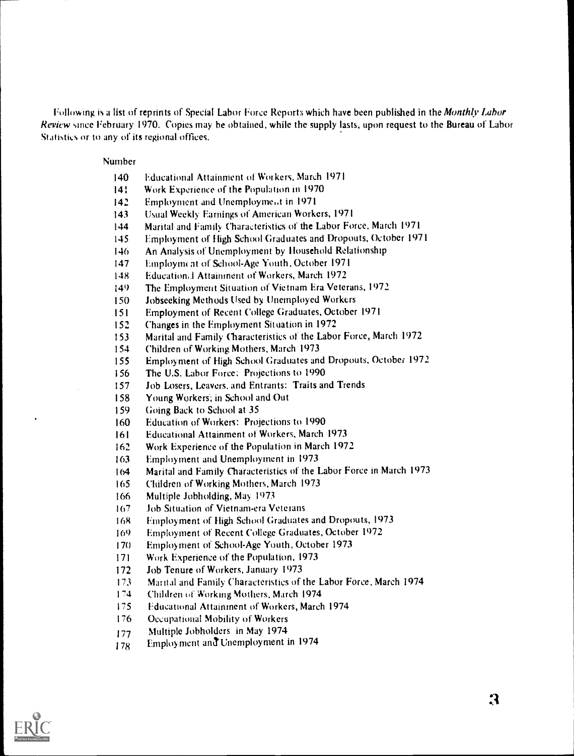Following is a list of reprints of Special Labor Force Reports which have been published in the Monthly Labor Review since February 1970. Copies may he obtained, while the supply lasts, upon request to the Bureau of Labor Statistics or to any of its regional offices.

### Number

- Educational Attainment of Workers, March 1971
- Work Experience of the Population in 1970
- Employment and Unemployment in 1971
- Usual Weekly- Earnings of American Workers, 1971
- Marital and Family Characteristics of the Labor Force, March 1971
- Employment of High School Graduates and Dropouts, October 1971
- An Analysis of Unemployment by Household Relationship
- Employmi at of School-Age Youth, October 1971
- Educational Attainment of Workers, March 1972
- The Employment Situation of Vietnam Era Veterans, 1972
- Jobseeking Methods Used by Unemployed Workers
- Employment of Recent College Graduates, October 1971
- Changes in the Employment Situation in 1972
- Marital and Family Characteristics of the Labor Force, March 1972
- Children of Working Mothers, March 1973
- Employment of High School Graduates and Dropouts, October 1972
- The U.S. Labor Force: Projections to 1990
- Job Losers, Leavers. and Entrants: Traits and Trends
- Young Workers; in School and Out
- Going Back to School at 35
- Education of Workers: Projections to 1990
- Educational Attainment of Workers, March 1973
- Work Experience of the Population in March 1972
- Employment and Unemployment in 1973
- Marital and Family Characteristics of the Labor Force in March 1973
- Children of Working Mothers, March 1973
- Multiple Jobholding, May 1973
- Job Situation of Vietnam-era Veterans
- 168 Employment of High School Graduates and Dropouts, 1973
- Employment of Recent College Graduates, October 1972
- Employment of School-Age Youth, October 1973
- Work Experience of the Population, 1973
- Job Tenure of Workers, January 1973
- Martial and Family Characteristics of the Labor Force, March 1974
- Children of Working Mothers, March 1974
- Educational Attainment of Workers, March 1974
- Occupational Mobility of Workers
- Multiple Jobholders in May 1974
- 178 Employment and Unemployment in 1974

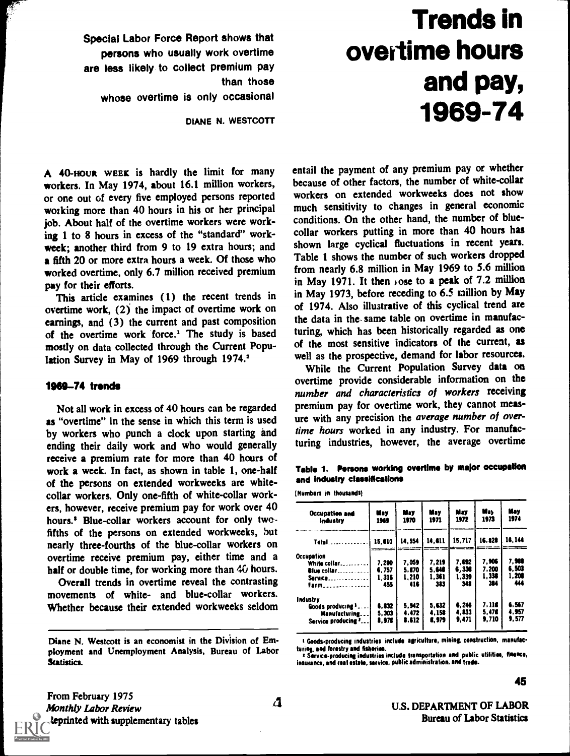Trends in overtime hours and pay, 1969-74

Special Labor Force Report shows that persons who usually work overtime are less likely to collect premium pay than those whose overtime is only occasional

DIANE N. WESTCOTT

A 40-HOUR WEEK is hardly the limit for many workers. In May 1974, about 16.1 million workers, or one out of every five employed persons reported working more than 40 hours in his or her principal job. About half of the overtime workers were working 1 to 8 hours in excess of the "standard" workweek; another third from 9 to 19 extra hours; and a fifth 20 or more extra hours a week. Of those who worked overtime, only 6.7 million received premium pay for their efforts.

This article examines (1) the recent trends in overtime work, (2) the impact of overtime work on earnings, and (3) the current and past composition of the overtime work force.' The study is based mostly on data collected through the Current Population Survey in May of 1969 through 1974.<sup>2</sup>

### 1969-74 trends

Not all work in excess of 40 hours can be regarded as "overtime" in the sense in which this term is used by workers who punch a clock upon starting and ending their daily work and who would generally receive a premium rate for more than 40 hours of work a week. In fact, as shown in table 1, one-half of the persons on extended workweeks are whitecollar workers. Only one-fifth of white-collar workers, however, receive premium pay for work over 40 hours.<sup>5</sup> Blue-collar workers account for only twofifths of the persons on extended workweeks, but nearly three-fourths of the blue-collar workers on overtime receive premium pay, either time and a half or double time, for working more than 40 hours.

Overall trends in overtime reveal the contrasting movements of white- and blue-collar workers. Whether because their extended workweeks seldom

entail the payment of any premium pay or whether because of other factors, the number of white-collar workers on extended workweeks does not show much sensitivity to changes in general economic conditions. On the other hand, the number of bluecollar workers putting in more than 40 hours has shown large cyclical fluctuations in recent years. Table 1 shows the number of such workers dropped from nearly 6.8 million in May 1969 to 5.6 million in May 1971. It then Jose to a peak of 7.2 million in May 1973, before receding to 6.5 million by May of 1974. Also illustrative of this cyclical trend are the data in the same table on overtime in manufacturing, which has been historically regarded as one of the most sensitive indicators of the current, as well as the prospective, demand for labor resources.

While the Current Population Survey data on overtime provide considerable information on the number and characteristics of workers receiving premium pay for overtime work, they cannot measure with any precision the average number of overtime hours worked in any industry. For manufacturing industries, however, the average overtime

|                              |  |  | Table 1. Persons working overtime by major occupation |
|------------------------------|--|--|-------------------------------------------------------|
| and industry classifications |  |  |                                                       |

(Numbers in thousands)

| <b>Occupation and</b><br>industry | May<br>1969 | May<br>1970 | May<br>1971 | May<br>1972 | May<br>1973 | May<br>1974 |
|-----------------------------------|-------------|-------------|-------------|-------------|-------------|-------------|
| Total                             | 15.610      | 14.554      | 14.611      | 15.717      | 16.123      | 16.144      |
| Occupation                        |             | $- - -$     |             |             |             |             |
| White collar                      | 7.200       | 7.059       | 7.219       | 7.692       | 7.906       | 7.988       |
| Blue collar                       | 6.757       | 5.870       | 5.648       | 5.338       | 7.200       | 6.503       |
| Service                           | 1.316       | 1.210       | 1.361       | 1.339       | 1.336       | 1.208       |
| Farm <i>Constitution</i>          | 455         | 416         | 383         | 342         | 384         | ш           |
| Industry                          |             |             |             |             |             |             |
| Goods producing 3.                | 6.832       | 5.942       | 5.632       | 6.246       | 7. MC       | 6.567       |
| Manufacturing                     | 5.303       | 4.472       | 4.158       | 4.833       | 5.476       | 4.957       |
| Service producing 2               | 8.976       | 8.612       | 6.979       | 9.471       | 9.710       | 9.577       |
|                                   |             |             |             |             |             |             |

1 Goods-producing industries include agriculture, mining, construction, manufacturing, and forestry and fisheries.

<sup>2</sup> Service-producing industries include transportation and public utilities, finance, insurance, and real estate, service, public administration, and trade.

From February 1975 Monthly Labor Review leprinted with supplementary tables 45

Diane N. Westcott is an economist in the Division of Employment and Unemployment Analysis, Bureau of Labor Statistics.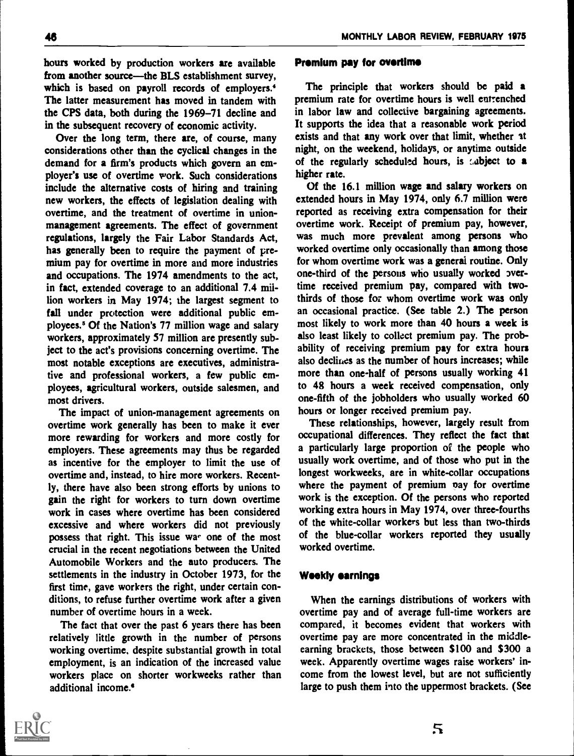hours worked by production workers are available from another source-the BLS establishment survey, which is based on payroll records of employers.<sup>4</sup> The latter measurement has moved in tandem with the CPS data, both during the 1969-71 decline and in the subsequent recovery of economic activity.

Over the long term, there are, of course, many considerations other than the cyclical changes in the demand for a firm's products which govern an employer's use of overtime work. Such considerations include the alternative costs of hiring and training new workers, the effects of legislation dealing with overtime, and the treatment of overtime in unionmanagement agreements. The effect of government regulations, largely the Fair Labor Standards Act, has generally been to require the payment of premium pay for overtime in more and more industries and occupations. The 1974 amendments to the act, in fact, extended coverage to an additional 7.4 million workers in May 1974; the largest segment to fall under protection were additional public employees.\* Of the Nation's 77 million wage and salary workers, approximately 57 million are presently subject to the act's provisions concerning overtime. The most notable exceptions are executives, administrative and professional workers, a few public employees, agricultural workers, outside salesmen, and most drivers.

The impact of union-management agreements on overtime work generally has been to make it ever more rewarding for workers and more costly for employers. These agreements may thus be regarded as incentive for the employer to limit the use of overtime and, instead, to hire more workers. Recently, there have also been strong efforts by unions to gain the right for workers to turn down overtime work in cases where overtime has been considered excessive and where workers did not previously possess that right. This issue war one of the most crucial in the recent negotiations between the United Automobile Workers and the auto producers. The settlements in the industry in October 1973, for the first time, gave workers the right, under certain conditions, to refuse further overtime work after a given number of overtime hours in a week.

The fact that over the past 6 years there has been relatively little growth in the number of persons working overtime, despite substantial growth in total employment, is an indication of the increased value workers place on shorter workweeks rather than additional income.<sup>4</sup>

### Premium pay for overtime

The principle that workers should be paid a premium rate for overtime hours is well entrenched in labor law and collective bargaining agreements. It supports the idea that a reasonable work period exists and that any work over that limit, whether at night, on the weekend, holidays, or anytime outside of the regularly scheduled hours, is  $,$  abject to a higher rate.

Of the 16.1 million wage and salary workers on extended hours in May 1974, only 6.7 million were reported as receiving extra compensation for their overtime work. Receipt of premium pay, however, was much more prevalent among persons who worked overtime only occasionally than among those for whom overtime work was a general routine. Only one-third of the persons who usually worked overtime received premium pay, compared with twothirds of those for whom overtime work was only an occasional practice. (See table 2.) The person most likely to work more than 40 hours a week is also least likely to collect premium pay. The probability of receiving premium pay for extra hours also declines as the number of hours increases; while more than one-half of persons usually working 41 to 48 hours a week received compensation, only one-fifth of the jobholders who usually worked 60 hours or longer received premium pay.

These relationships, however, largely result from occupational differences. They reflect the fact that a particularly large proportion of the people who usually work overtime, and of those who put in the longest workweeks, are in white-collar occupations where the payment of premium pay for overtime work is the exception. Of the persons who reported working extra hours in May 1974, over three-fourths of the white-collar workers but less than two-thirds of the blue-collar workers reported they usually worked overtime.

### Weekly earnings

When the earnings distributions of workers with overtime pay and of average full-time workers are compared, it becomes evident that workers with overtime pay are more concentrated in the middleearning brackets, those between \$100 and \$300 a week. Apparently overtime wages raise workers' income from the lowest level, but are not sufficiently large to push them into the uppermost brackets. (See

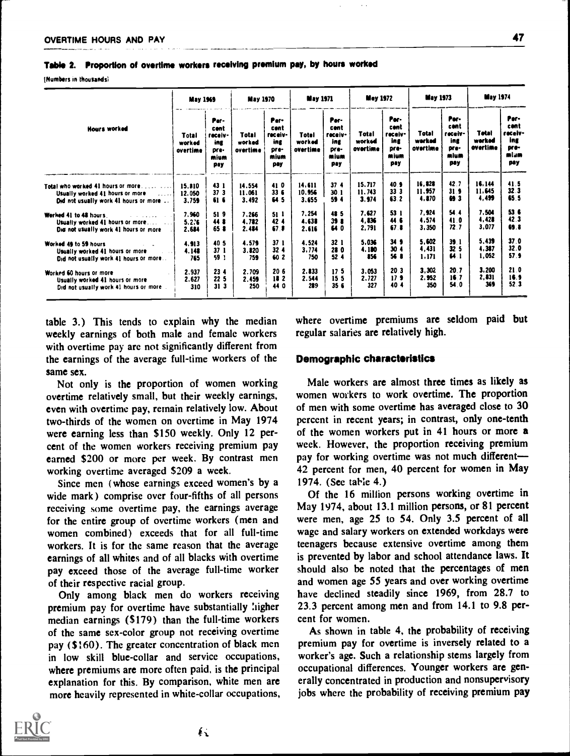Table 2. Proportion of overtime workers receiving premium pay, by hours worked

(Numbers in thousands1

|                                                    | <b>May 1969</b>             |                                                       | <b>May 1970</b>             |                                                       | <b>May 1971</b>             |                                                       | <b>May 1972</b>             |                                                       | <b>May 1973</b>             |                                                       | <b>May 1974</b>             |                                                       |
|----------------------------------------------------|-----------------------------|-------------------------------------------------------|-----------------------------|-------------------------------------------------------|-----------------------------|-------------------------------------------------------|-----------------------------|-------------------------------------------------------|-----------------------------|-------------------------------------------------------|-----------------------------|-------------------------------------------------------|
| <b>Hours worked</b>                                | Total<br>worked<br>overtime | Per-<br>cont<br>receiv-<br>ing<br>pre-<br>mium<br>pay | Total<br>worked<br>overtime | Per-<br>cont<br>receiv-<br>ing<br>pre-<br>mium<br>pay | Totel<br>worked<br>overtime | Per-<br>cent<br>receiv-<br>ing<br>pre-<br>mium<br>pay | Total<br>worked<br>overtime | Por-<br>cent<br>receiv-<br>ing<br>pre-<br>mium<br>pay | Total<br>werked<br>overtime | Per-<br>cont<br>receiv-<br>ing<br>Dre-<br>mium<br>pay | Tetal<br>warked<br>overtime | Per-<br>cont<br>receiv-<br>ing<br>pre-<br>miam<br>pay |
| Total who worked 41 hours or more                  | 15.810                      | 43 1                                                  | 14.554                      | 410                                                   | 14,611                      | 37.4                                                  | 15,717                      | 40.9                                                  | 16.828                      | 42.7                                                  | 16.144                      | 41.5                                                  |
| Usually worked 41 hours or more<br><b>Contract</b> | 12.050                      | 37 <sub>3</sub>                                       | 11.061                      | 336                                                   | 10.956                      | 30.1                                                  | 11.743                      | 33 <sup>3</sup>                                       | 11.957                      | 31 <sub>9</sub>                                       | 11.645                      | 32.3                                                  |
| Did not usually work 41 hours or more              | 3.759                       | 616                                                   | 3.492                       | 64 5                                                  | 3.655                       | 59 4                                                  | 3.974                       | 63.2                                                  | 4,870                       | 69 3                                                  | 4.499                       | 65.5                                                  |
| Werked 41 to 48 hours<br>and a state of the        | 7.960                       | 519                                                   | 7.266                       | 51 I                                                  | 7.254                       | 48 5                                                  | 7.627                       | 53 1                                                  | 7.924                       | 54.4                                                  | 7.504                       | 53.6                                                  |
| Usually worked 41 hours or more                    | 5.2.6                       | 44 8                                                  | 4.782                       | 42 4                                                  | 4.638                       | 39.8                                                  | 4.836                       | 44.6                                                  | 4.574                       | 41.0                                                  | 4,428                       | 42.3                                                  |
| Did not usually work 41 hours or more              | 2.684                       | 65 8                                                  | 2.484                       | 67.8                                                  | 2.616                       | 64 D                                                  | 2.791                       | 67.8                                                  | 3,350                       | 72.7                                                  | 3.077                       | 69.8                                                  |
| Worked 49 to 59 hours                              | 4.913                       | 40 5                                                  | 4.579                       | 371                                                   | 4.524                       | 32 <sub>1</sub>                                       | 5.036                       | 34 <sub>9</sub>                                       | 5.602                       | 39.1                                                  | 5.439                       | 37.0                                                  |
| Usually worked 41 hours or more                    | 4.148                       | 37 <sub>1</sub>                                       | 3.820                       | 32 <sub>4</sub>                                       | 3,774                       | 280                                                   | 4.180                       | 30 <sub>4</sub>                                       | 4,431                       | 32 <sub>5</sub>                                       | 4,387                       | 32.0                                                  |
| Did not usually work 41 hours or more              | 765                         | 59 1                                                  | 759                         | 60 2                                                  | 750                         | 52.4                                                  | 856                         | <b>56 B</b>                                           | 1.171                       | 64. L                                                 | 1.052                       | 57.9                                                  |
| Worked 60 hours or more                            | 2.937                       | 234                                                   | 2.709                       | 206                                                   | 2.833                       | 17 <sub>5</sub>                                       | 3.053                       | 20.3                                                  | 3.302                       | 20.7                                                  | 3.200                       | 21.0                                                  |
| Usually worked 41 hours or more                    | 2.627                       | 22 5                                                  | 2.459                       | 182                                                   | 2.544                       | 15 <sub>5</sub>                                       | 2.727                       | 17 <sub>3</sub>                                       | 2.952                       | 16.7                                                  | 2,831                       | 16.9                                                  |
| Did not usually work 41 hours or more              | 310                         | 313                                                   | 250                         | 44 0                                                  | 289                         | 35f                                                   | 327                         | 404                                                   | 350                         | 54.0                                                  | 369                         | 52.3                                                  |

table 3.) This tends to explain why the median weekly earnings of both male and female workers with overtime pay are not significantly different from the earnings of the average full-time workers of the same sex.

Not only is the proportion of women working overtime relatively small, but their weekly earnings, even with overtime pay, remain relatively low. About two-thirds of the women on overtime in May 1974 were earning less than \$150 weekly. Only 12 percent of the women workers receiving premium pay earned \$200 or more per week. By contrast men working overtime averaged \$209 a week.

Since men (whose earnings exceed women's by a wide mark) comprise over four-fifths of all persons receiving some overtime pay, the earnings average for the entire group of overtime workers (men and women combined) exceeds that for all full-time workers. It is for the same reason that the average earnings of all whites and of all blacks with overtime pay exceed those of the average full-time worker of their respective racial group.

Only among black men do workers receiving premium pay for overtime have substantially ligher median earnings (\$179) than the full-time workers of the same sex-color group not receiving overtime pay (\$160). The greater concentration of black men in low skill blue-collar and service occupations, where premiums are more often paid, is the principal explanation for this. By comparison, white men are more heavily represented in white-collar occupations, where overtime premiums are seldom paid but regular salaries are relatively high.

### Demographic characteristics

Male workers are almost three times as likely as women workers to work overtime. The proportion of men with some overtime has averaged close to 30 percent in recent years; in contrast, only one-tenth of the women workers put in 41 hours or more a week. However, the proportion receiving premium pay for working overtime was not much different-42 percent for men, 40 percent for women in May 1974. (See table 4.)

Of the 16 million persons working overtime in May 1974, about 13.1 million persons, or 81 percent were men, age 25 to 54. Only 3.5 percent of all wage and salary workers on extended workdays were teenagers because extensive overtime among them is prevented by labor and school attendance laws. It should also be noted that the percentages of men and women age 55 years and over working overtime have declined steadily since 1969, from 28.7 to 23.3 percent among men and from 14.1 to 9.8 percent for women.

As shown in table 4, the probability of receiving premium pay for overtime is inversely related to a worker's age. Such a relationship stems largely from occupational differences. Younger workers are generally concentrated in production and nonsupervisory jobs where the probability of receiving premium pay



⊾∲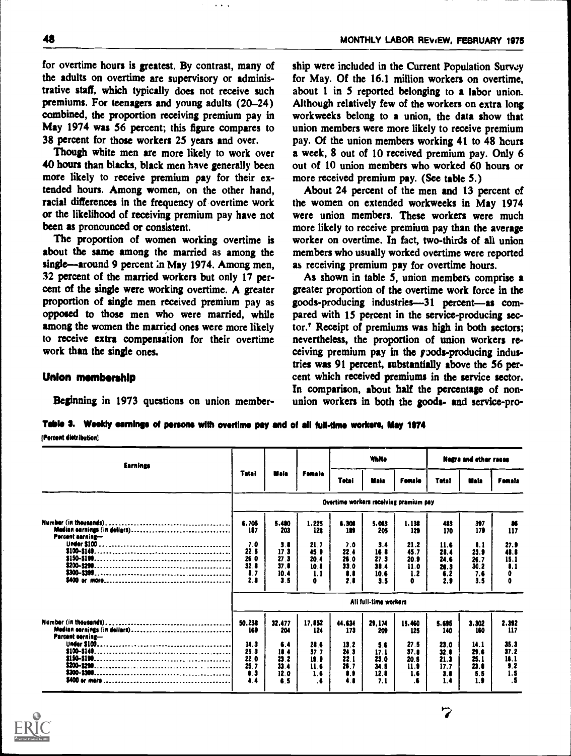for overtime hours is greatest. By contrast, many of the adults on overtime are supervisory or administrative staff, which typically does not receive such premiums. For teenagers and young adults (20-24) combined, the proportion receiving premium pay in May 1974 was 56 percent; this figure compares to 38 percent for those workers 25 years and over.

Though white men are more likely to work over 40 hours than blacks, black men have generally been more likely to receive premium pay for their extended hours. Among women, on the other hand, racial differences in the frequency of overtime work or the likelihood of receiving premium pay have not been as pronounced or consistent.

The proportion of women working overtime is about the same among the married as among the single-around 9 percent in May 1974. Among men, 32 percent of the married workers but only 17 percent of the single were working overtime. A greater proportion of single men received premium pay as opposed to those men who were married, while among the women the married ones were more likely to receive extra compensation for their overtime work than the single ones.

ship were included in the Current Population Survey for May. Of the 16.1 million workers on overtime, about 1 in 5 reported belonging to a labor union. Although relatively few of the workers on extra long workweeks belong to a union, the data show that union members were more likely to receive premium pay. Of the union members working 41 to 48 hours a week, 8 out of 10 received premium pay. Only 6 out of 10 union members who worked 60 hours or more received premium pay. (See table 5.)

About 24 percent of the men and 13 percent of the women on extended workweeks in May 1974 were union members. These workers were much more likely to receive premium pay than the average worker on overtime. In fact, two-thirds of ali union members who usually worked overtime were reported as receiving premium pay for overtime hours.

As shown in table 5, union members comprise a greater proportion of the overtime work force in the goods-producing industries-31 percent-as compared with 15 percent in the service-producing sector.' Receipt of premiums was high in both sectors; nevertheless, the proportion of union workers receiving premium pay in the pods-producing industries was 91 percent, substantially above the 56 percent which received premiums in the service sector. In comparison, about half the percentage of nonunion workers in both the goods- and service-pro-

### Union membership

Beginning in 1973 questions on union member-

Table 3. Weekly earnings of persons with overtime pay and of all full-time workers, May 1974 Percent distribution]

|                                                   |                                            |                                     |                                                   | White                                      |                                          |                                            |                                                      |                                                        |
|---------------------------------------------------|--------------------------------------------|-------------------------------------|---------------------------------------------------|--------------------------------------------|------------------------------------------|--------------------------------------------|------------------------------------------------------|--------------------------------------------------------|
| Tetai                                             | Mala                                       | Fomala                              | Tetai                                             | Mala                                       | Female                                   | <b>Tetal</b>                               | Mala                                                 | Fomala                                                 |
|                                                   |                                            |                                     |                                                   |                                            |                                          |                                            |                                                      |                                                        |
| 6.705<br>187                                      | 5.480<br>203                               | 1.225<br>122                        | 6.300<br>189                                      | 5.083<br>205                               | 1.138<br>129                             | 483<br>170                                 | 397<br>179                                           | ĸ<br>117                                               |
| 7.0<br>22.5<br>26.0<br>32.1<br>$\bullet$ .<br>2.1 | 3.8<br>17.3<br>27.3<br>37.8<br>10.4<br>3.5 | 21.7<br>45.9<br>20.4<br>10.8<br>1.1 | 7.0<br>22.4<br>26.0<br>33.0<br>$\bullet$ .<br>2.8 | 3.4<br>16.8<br>27.3<br>38.4<br>10.6<br>3.5 | 21.2<br>45.7<br>20.9<br>11.0<br>1.2<br>O | 11.6<br>28.4<br>24.6<br>26.3<br>6.2<br>2.9 | $\blacksquare$<br>23.9<br>26.7<br>30.2<br>7.6<br>3.5 | 27.9<br>48.8<br>15.1<br>$\bullet$ .1<br>o<br>$\bullet$ |
|                                                   |                                            |                                     |                                                   |                                            |                                          |                                            |                                                      |                                                        |
| 50,238<br>169                                     | 32.477<br>204                              | 17,852<br>124                       | 44.634<br>173                                     | 29.174<br>200                              | 15,460<br>125                            | 5.695<br>140                               | 3.302<br>160                                         | 2.392<br>117                                           |
| 14.3<br>25.3<br>22.0<br>25.7<br>$\blacksquare$    | 6.4<br>18.4<br>23 2<br>33.4<br>12.0        | 28.6<br>37.7<br>19.9<br>11.6        | 13.2<br>24 3<br>22.1<br>26.7                      | 5.6<br>17.1<br>23.0<br>34.5                | 27.5<br>37.8<br>20.5<br>11.9<br>1.6      | 23.0<br>32.0<br>21.3<br>17.7<br>3.8        | 14.1<br>29.6<br>25.1<br>23.0<br>5.5                  | 35.3<br>37.2<br>16.1<br>9.2<br>1.5                     |
|                                                   |                                            |                                     |                                                   |                                            | 12.0<br>$\bullet$<br>1.6                 | All full-time workers                      | Overtime workers receiving pramium pay               | <b>Negra and other races</b>                           |

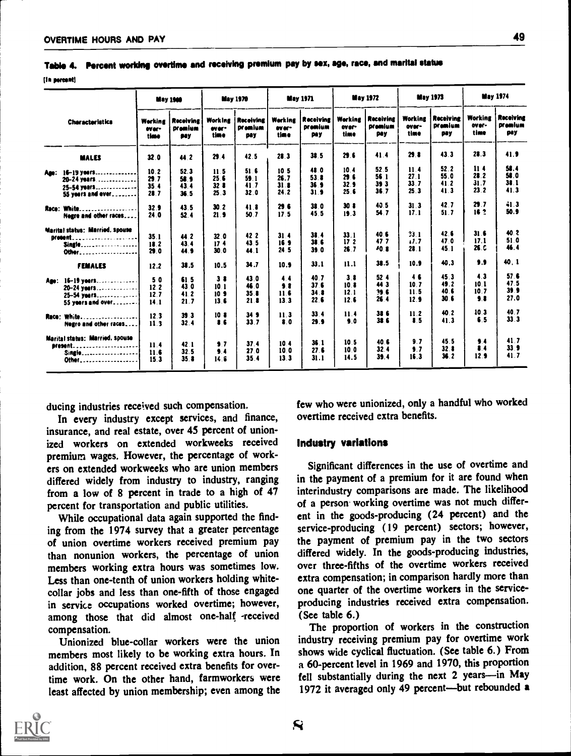um portent]

|                                       |                          | <b>May 1960</b>                    |                          | <b>May 1970</b>             |                          | <b>May 1971</b>                    |                                 | <b>May 1972</b>                    |                          | <b>May 1973</b>                    |                          | <b>May 1974</b>                           |
|---------------------------------------|--------------------------|------------------------------------|--------------------------|-----------------------------|--------------------------|------------------------------------|---------------------------------|------------------------------------|--------------------------|------------------------------------|--------------------------|-------------------------------------------|
| <b>Characteristics</b>                | Werking<br>ever-<br>time | <b>Receiving</b><br>premium<br>90y | Working<br>ever-<br>time | Receiving<br>premium<br>pay | Werking<br>ever-<br>time | Receiving<br>promium<br><b>PRY</b> | <b>Werking</b><br>over-<br>time | <b>Receiving</b><br>premium<br>pay | Working<br>over-<br>time | <b>Receiving</b><br>Dramium<br>pay | Working<br>over-<br>time | <b>Receiving</b><br><b>Dramium</b><br>pay |
| <b>MALES</b>                          | 32.0                     | 44.2                               | 29.4                     | 42.5                        | 28.3                     | 38.5                               | 29.6                            | 41.4                               | 29.8                     | 43.3                               | 28.3                     | 41.9                                      |
| Age: 16-19 years                      | 10.2                     | 52.3                               | 11.5                     | 51 6                        | 10 <sub>5</sub>          | 48 0                               | 10.4                            | 52.5                               | 11.4                     | 52.2                               | 11.4                     | 58.4                                      |
| 20-24 years                           | 29.7                     | 58.9                               | 25.6                     | 59.1                        | 26.7                     | 53.8                               | 296                             | 56 1                               | 27.1                     | 55.0                               | 28.2                     | 58.0                                      |
|                                       | 35.4                     | 43.4                               | 323                      | 41.7                        | 31.8                     | 36.9                               | 32.9                            | 39 <sub>3</sub>                    | 33.7                     | 41.2                               | 31.7                     | 38.1                                      |
| 25-54 years                           | 28.7                     | 36.5                               | 25.3                     | 32.0                        | 24.2                     | 31.9                               | 25.6                            | 36.7                               | 25.3                     | 41.3                               | 23.2                     | 41.3                                      |
| 55 years and ever.                    |                          |                                    |                          |                             |                          |                                    |                                 |                                    |                          |                                    |                          |                                           |
|                                       |                          | 43.5                               | 30 <sub>2</sub>          | 41.8                        | 29.6                     | 380                                | 30 <sub>8</sub>                 | 40.5                               | 31.3                     | 42.7                               | 29.7                     | $-1.3$                                    |
| Race: White.<br>. <b>.</b> . <b>.</b> | 32.9                     |                                    |                          |                             | 17 <sub>5</sub>          | 45.5                               | 19.3                            | 54.7                               | 17.1                     | 51.7                               | 16 2                     | 50.9                                      |
| Negre and other races                 | 24.0                     | 52.4                               | 21.9                     | 50.7                        |                          |                                    |                                 |                                    |                          |                                    |                          |                                           |
| Marital status: Married, spouse       |                          |                                    |                          |                             |                          |                                    |                                 | 40 6                               |                          | 42.6                               | 31.6                     | 40.2                                      |
| $D(000001$                            | 35.1                     | 44 2                               | 32.0                     | 42.2                        | 31.4                     | 38.4                               | 33.1                            | 477                                | 33.1                     | 47.0                               | 17.1                     | 51.0                                      |
| <b>Single</b>                         | 18.2                     | 43.4                               | 17 <sub>4</sub>          | 43 5                        | 16 <sub>3</sub>          | 38.6                               | 17 <sub>2</sub>                 |                                    | 1.7                      | 45 1                               | 26.C                     | 46.4                                      |
| Other                                 | 29.0                     | 44.9                               | 30.0                     | 44.1                        | 24.5                     | 39.0                               | 26.7                            | 40 8                               | 28.1                     |                                    |                          |                                           |
| <b>FEMALES</b>                        | 12.2                     | 38.5                               | 10.5                     | 34.7                        | 10.9                     | 33.1                               | 11.1                            | 38.5                               | 10.9                     | 40.3                               | 9.9                      | 40.1                                      |
| Age: 16-19 years                      | 50                       | 61.5                               | 38                       | 43.0                        | 4.4                      | 40.7                               | 3.8                             | 52 <sub>4</sub>                    | 46                       | 45.3                               | 4.3                      | 57.6                                      |
| 20-24 veers                           | 12.2                     | 43 0                               | 101                      | 46.0                        | 9.8                      | 37 <sub>6</sub>                    | 10 <sub>8</sub>                 | 44 3                               | 10.7                     | 49.2                               | 10.1                     | 475                                       |
| 25-54 veers                           | 12.7                     | 41.2                               | 10 <sup>3</sup>          | 35.8                        | 11.6                     | 34.8                               | 12.1                            | 39.6                               | 11.5                     | 40 6                               | 10.7                     | 39.9                                      |
| 55 years and over                     | 14.1                     | 21.7                               | 13.6                     | 21.8                        | 13.3                     | 22.6                               | 12.6                            | 26.4                               | 12.9                     | 30f                                | $\bullet$                | 27.0                                      |
|                                       |                          |                                    |                          |                             |                          |                                    |                                 |                                    |                          |                                    |                          |                                           |
|                                       | 12.3                     | 39.3                               | 10 <sub>8</sub>          | 34 <sub>3</sub>             | 11.3                     | 33.4                               | 11.4                            | 386                                | 11.2                     | 40.2                               | 10.3                     | 40.7                                      |
| Race: White                           |                          |                                    | 16                       | 33.7                        | 8.0                      | 29.9                               | 9.0                             | 386                                | 8.5                      | 41.3                               | 6.5                      | 33.3                                      |
| Negro and other races                 | 11.3                     | 32.4                               |                          |                             |                          |                                    |                                 |                                    |                          |                                    |                          |                                           |
| Marital status: Married, spouse       |                          |                                    |                          |                             |                          |                                    | 10 <sub>5</sub>                 | 40.6                               | 9.7                      | 45.5                               | 9.4                      | 41.7                                      |
| <b>Bresont</b>                        | 11.4                     | 42.1                               | $\bullet$ 7              | 37.4                        | 10.4                     | 36.1                               |                                 |                                    |                          | 32.8                               | $\bullet$                | 33 <sub>9</sub>                           |
| Single                                | 11.6                     | 32.5                               | 3.4                      | 27.0                        | 10.0                     | 27.6                               | 10.0                            | 32.4                               | 9.7                      |                                    |                          | 41.7                                      |
| Other                                 | 15.3                     | 35.8                               | 14.6                     | 35.4                        | 13.3                     | 31.1                               | 14.5                            | 39.4                               | 16.3                     | 36.2                               | 12.9                     |                                           |

Table 4. Percent working overtime and receiving premium pay by sex, age, race, and marital statue

ducing industries received such compensation.

In every industry except services, and finance, insurance, and real estate, over 45 percent of unionized workers on extended workweeks received premium wages. However, the percentage of workers on extended workweeks who are union members differed widely from industry to industry, ranging from a low of 8 percent in trade to a high of 47 percent for transportation and public utilities.

While occupational data again supported the finding from the 1974 survey that a greater percentage of union overtime workers received premium pay than nonunion workers, the percentage of union members working extra hours was sometimes low. Less than one-tenth of union workers holding whitecollar jobs and less than one-fifth of those engaged in service occupations worked overtime; however, among those that did almost one-half -received compensation.

Unionized blue-collar workers were the union members most likely to be working extra hours. In addition, 88 percent received extra benefits for overtime work. On the other hand, farmworkers were least affected by union membership; even among the few who were unionized, only a handful who worked overtime received extra benefits.

### Industry variations

Significant differences in the use of overtime and in the payment of a premium for it are found when interindustry comparisons are made. The likelihood of a person working overtime was not much different in the goods-producing (24 percent) and the service-producing (19 percent) sectors; however, the payment of premium pay in the two sectors differed widely. In the goods-producing industries, over three-fifths of the overtime workers received extra compensation; in comparison hardly more than one quarter of the overtime workers in the serviceproducing industries received extra compensation. (See table 6.)

The proportion of workers in the construction industry receiving premium pay for overtime work shows wide cyclical fluctuation. (See table 6.) From a 60-percent level in 1969 and 1970, this proportion fell substantially during the next 2 years-in May 1972 it averaged only 49 percent-but rebounded a

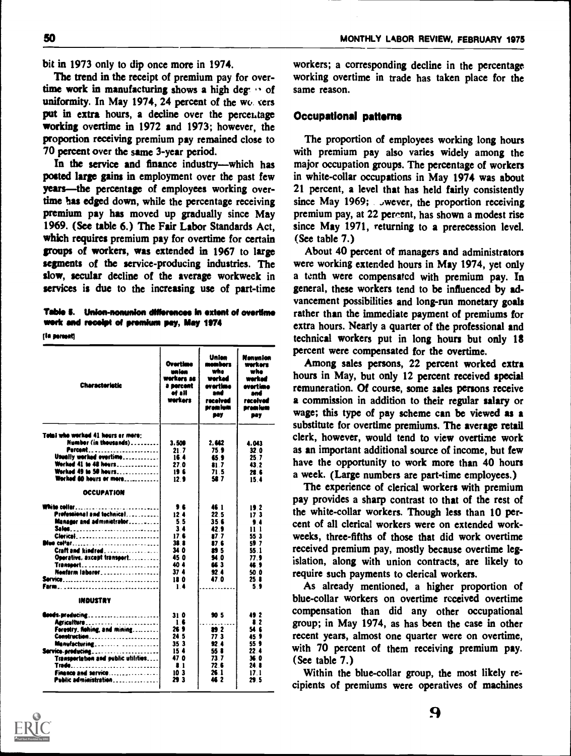bit in 1973 only to dip once more in 1974.

The trend in the receipt of premium pay for overtime work in manufacturing shows a high deg: " of uniformity. In May 1974, 24 percent of the workers put in extra hours, a decline over the percentage working overtime in 1972 and 1973; however, the proportion receiving premium pay remained close to 70 percent over the same 3-year period.

In the service and finance industry-which has posted large gains in employment over the past few years—the percentage of employees working overtime has edged down, while the percentage receiving premium pay has moved up gradually since May 1969. (See table 6.) The Fair Labor Standards Act. which requires premium pay for overtime for certain groups of workers, was extended in 1967 to large segments of the service-producing industries. The slow, secular decline of the average workweek in services is due to the increasing use of part-time

Table 5. Union-nonunion differences in extent of overtime work and recolpt of premium pay, May 1974

(la marmati

| <b>Characteristic</b>                                                                                                                                                                                                                           | Overtime<br>maion<br>werkers as<br>a percent<br>af all<br>Warkers                               | Union<br>members<br>who<br>werked<br>evertime<br>and<br>racolvad<br>pram kum<br><b>BOY</b>                   | Nonvalan<br>werkors<br>whe<br>warkad<br>overtime<br>and<br>raceivad<br>prom lum<br><b>BOY</b>  |
|-------------------------------------------------------------------------------------------------------------------------------------------------------------------------------------------------------------------------------------------------|-------------------------------------------------------------------------------------------------|--------------------------------------------------------------------------------------------------------------|------------------------------------------------------------------------------------------------|
| Total who worked 41 hours ar more:<br>Number (in thousands)<br>Percent<br>Usually worked overtime<br>Worked 41 to 48 hours<br>Worked 49 to 50 hours<br>Worked 60 hours or more<br><b>OCCUPATION</b>                                             | 3.500<br>21 7<br>164<br>27.0<br>196<br>12 <sub>9</sub>                                          | 2.662<br>75 S<br>65.9<br>21.7<br>71.5<br>58.7                                                                | 4.043<br>32 O<br>25 7<br>43.2<br>22 E<br>15.4                                                  |
| Professional and technical<br>Manager and administrator<br><b>Sales</b><br>Clerical<br><b>Dius col'ar</b><br>Craft and kindred<br>Operative, axcept transport<br>Transport<br>Neefarm laborer<br>Farm                                           | ,,<br>12.4<br>55<br>34<br>17 6<br>38 8<br>34 0<br>45 O<br>40 4<br>37 <sub>4</sub><br>180<br>. . | 46 I<br>22 <sub>5</sub><br>35.6<br>42 9<br>87.7<br>87 6<br><b>89 5</b><br><b>54 O</b><br>ES 3<br>92 4<br>470 | 192<br>173<br>$\bullet$<br>11-1<br>55 3<br>59.7<br>55.1<br>77. S<br>469<br>50 0<br>25 8<br>59  |
| INDUSTRY<br><b>Goods-preducing</b><br>Agriculture<br>Forestry, fishing, and mining<br>Construction<br>Manufacturing<br>Service-producing<br>Transportation and oublic utilities<br><b>Trade</b><br>Finance and service<br>Public administration | 310<br>1.6<br>26 9<br>24 5<br>35 3<br>154<br>47 O<br>$\bullet$ 1<br>10 <sub>3</sub><br>29 3     | 90 S<br>22<br>77 3<br>92.4<br>55 8<br>73 7<br>72 S<br>26 I<br>46 2                                           | 49 <sup>2</sup><br>$\bullet$ 2<br>54 E<br>45 S<br>55 9<br>22.4<br>36 0<br>24 B<br>17.1<br>29 S |

workers; a corresponding decline in the percentage working overtime in trade has taken place for the same reason.

### **Occupational patterns**

The proportion of employees working long hours with premium pay also varies widely among the major occupation groups. The percentage of workers in white-collar occupations in May 1974 was about 21 percent, a level that has held fairly consistently since May 1969; . . wever, the proportion receiving premium pay, at 22 percent, has shown a modest rise since May 1971, returning to a prerecession level. (See table 7.)

About 40 percent of managers and administrators were working extended hours in May 1974, yet only a tenth were compensated with premium pay. In general, these workers tend to be influenced by advancement possibilities and long-run monetary goals rather than the immediate payment of premiums for extra hours. Nearly a quarter of the professional and technical workers put in long hours but only 18 percent were compensated for the overtime.

Among sales persons, 22 percent worked extra hours in May, but only 12 percent received special remuneration. Of course, some sales persons receive a commission in addition to their regular salary or wage; this type of pay scheme can be viewed as a substitute for overtime premiums. The average retail clerk, however, would tend to view overtime work as an important additional source of income, but few have the opportunity to work more than 40 hours a week. (Large numbers are part-time employees.)

The experience of clerical workers with premium pay provides a sharp contrast to that of the rest of the white-collar workers. Though less than 10 percent of all clerical workers were on extended workweeks, three-fifths of those that did work overtime received premium pay, mostly because overtime legislation, along with union contracts, are likely to require such payments to clerical workers.

As already mentioned, a higher proportion of blue-collar workers on overtime received overtime compensation than did any other occupational group; in May 1974, as has been the case in other recent years, almost one quarter were on overtime, with 70 percent of them receiving premium pay. (See table 7.)

Within the blue-collar group, the most likely recipients of premiums were operatives of machines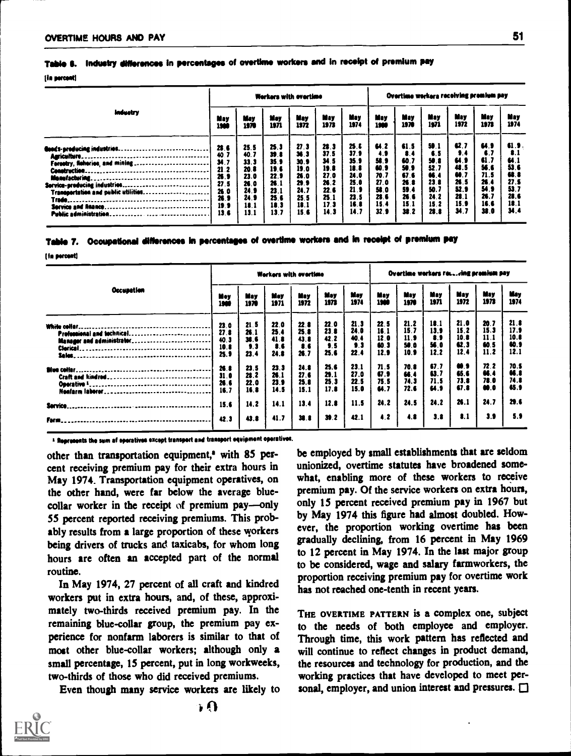### Table 6. Industry differences in percentages of overtime workers and in receipt of premium sav

### [la percent]

|                                                                                                                                                                                                                                                                                                                                  |                                                                              |                                                                              |                                                                                        | Workers with overtime                                                        |                                                                             |                                                                                         |                                                                                       |                                                                                   |                                                                                        |                                                                                         | Overtime workers receiving premium pay                                                 |                                                                             |
|----------------------------------------------------------------------------------------------------------------------------------------------------------------------------------------------------------------------------------------------------------------------------------------------------------------------------------|------------------------------------------------------------------------------|------------------------------------------------------------------------------|----------------------------------------------------------------------------------------|------------------------------------------------------------------------------|-----------------------------------------------------------------------------|-----------------------------------------------------------------------------------------|---------------------------------------------------------------------------------------|-----------------------------------------------------------------------------------|----------------------------------------------------------------------------------------|-----------------------------------------------------------------------------------------|----------------------------------------------------------------------------------------|-----------------------------------------------------------------------------|
| <b>Industry</b>                                                                                                                                                                                                                                                                                                                  | May<br>1966                                                                  | May<br>1970                                                                  | Mey<br>1971                                                                            | <b>May</b><br>1972                                                           | May<br>1973                                                                 | May<br>1974                                                                             | May<br>1989                                                                           | May<br>1970                                                                       | May<br>1971                                                                            | May<br>1972                                                                             | May<br>1973                                                                            | May<br>1974                                                                 |
| Goods-producing industries<br>Agriculture.<br>Ferestry, fielteries, and mining<br><b>Construction</b><br>Monufacturing.<br><br>Service-producing industries.<br>---------------------------<br>Transportation and public utilities<br>Trade.<br>Service and finance<br>Public administration.<br>------------------------------- | 28.6<br>40.7<br>34.7<br>21.2<br>26.9<br>27.5<br>26.0<br>26.9<br>19.9<br>13.6 | 25.5<br>40.7<br>33.3<br>20.8<br>23.0<br>26.0<br>24.9<br>24.9<br>18.1<br>13.1 | 25.3<br>39.8<br>35 <sub>9</sub><br>19.6<br>22.9<br>26.1<br>23.1<br>25.0<br>18.3<br>137 | 27.3<br>36.3<br>30.9<br>19.0<br>26.0<br>29.9<br>24.7<br>25.5<br>18.1<br>15.6 | 28.3<br>37.5<br>34.5<br>19.8<br>27.0<br>26.2<br>22.6<br>25.1<br>173<br>14.3 | 25.5<br>37 <sub>9</sub><br>35.9<br>18.8<br>24.0<br>25.0<br>21.9<br>23.5<br>16.8<br>14.7 | 4.2<br>4.9<br>58.9<br>60.9<br>70.7<br>27.0<br>58.0<br>28.6<br>15.4<br>32 <sub>3</sub> | 61.5<br>$\bullet$<br>60.7<br>58.9<br>67.6<br>26.8<br>59.4<br>26.6<br>15.1<br>38.2 | 50.1<br>6.5<br>50.8<br>52 7<br>66 4<br>23 <sub>0</sub><br>50.7<br>24.2<br>15.2<br>28.B | 42.7<br>,,<br><b>u</b> ,<br>48.5<br><b>68.7</b><br>26.5<br>52.9<br>28.1<br>15.9<br>34.7 | 64.9<br>6.7<br>61.7<br>56.6<br>71.5<br>26.4<br>54 <sub>5</sub><br>26.7<br>16.6<br>38.0 | 61.9<br>8.1<br>64.1<br>53 0<br>88.8<br>27.5<br>53.7<br>28.6<br>18.1<br>34.4 |

| 7. Occupational differences in percentages of overtime workers and in receipt of premium pay |  |  |  |
|----------------------------------------------------------------------------------------------|--|--|--|
|----------------------------------------------------------------------------------------------|--|--|--|

**If a percent!** 

|                            |                 |              |              | Workers with overtime |                |              |             |             |             | Overtime workers rowving promium pay |             |             |
|----------------------------|-----------------|--------------|--------------|-----------------------|----------------|--------------|-------------|-------------|-------------|--------------------------------------|-------------|-------------|
| Occupation                 | Mey             | May          | Mey          | May                   | May            | Mey          | May         | May         | May         | May                                  | May         | May         |
|                            | 1960            | 1970         | 1971         | 1972                  | 1973           | 1974         | 1980        | 1970        | 1971        | 1972                                 | 1973        | 1974        |
|                            | 23.0            | 21.5         | 22.0         | 22.8                  | 22.0           | 21.3         | 22.5        | 21.2        | 10.1        | 21.0                                 | 20.7        | 21.8        |
| Professional and technical | 27 <sub>0</sub> | 26 1         | 25.4         | 25.8                  | 23.8           | 24.0         | 16.1        | 15.7        | 13.9        | 15.2                                 | 15.3        | 17.9        |
| Manager and administrator  | 40.3            | 38.6         | 41.8         | 43.8                  | 42.2           | 40.4         | 12.0        | 11.9        | 8.9         | 10.8                                 | 11 1        | 10.8        |
|                            | 10.8            | 9.3          | <b>16</b>    | 8.6                   | 9 <sub>5</sub> | 9.3          | 60.3        | 50.0        | 56.0        | 62.3                                 | 60.5        | 60.9        |
|                            | 25.9            | 23.4         | 24.8         | 26.7                  | 25.6           | 22.4         | 12.9        | 10.9        | 12.2        | 12.4                                 | 11.2        | 12.1        |
|                            | 26.0            | 23.5         | 23.3         | 24.8                  | 25.6           | 23.1         | 71.5        | 70.8        | 67.7        | 0.9                                  | 72.2        | 70.5        |
|                            | 31.0            | 22.2         | 26 1         | 27.6                  | 29.1           | 27.0         | 67.9        | 66.4        | 63.7        | 65.6                                 | 66.4        | <b>M.I</b>  |
|                            | 26.6            | 22.0         | 23.9         | 25.8                  | 25.3           | 22.5         | 75.5        | 74.3        | 71.5        | 73.8                                 | 78.0        | 74.8        |
|                            | 16.7            | 16.8         | 14.5         | 15.1                  | 17.8           | 15.0         | 64.7        | 72.6        | u.,         | 67.8                                 | 00.0        | 45.9        |
| Service.                   | 15.6<br>42.3    | 14.2<br>43.8 | 14.1<br>41.7 | 13.4<br>38.8          | 12.8<br>30.2   | 11.5<br>42.1 | 24.2<br>4.2 | 24.5<br>4.8 | 24.2<br>3.8 | 26.1<br>$\bullet$ .1                 | 24.7<br>3.9 | 29.6<br>5.9 |

<sup>1</sup> Represents the sum af speratives except transport and transport equipment operatives.

other than transportation equipment,<sup>a</sup> with 85 percent receiving premium pay for their extra hours in May 1974. Transportation equipment operatives, on the other hand, were far below the average bluecollar worker in the receipt of premium pay-only 55 percent reported receiving premiums. This probably results from a large proportion of these workers being drivers of trucks and taxicabs, for whom long hours are often an accepted part of the normal routine.

In May 1974, 27 percent of all craft and kindred workers put in extra hours, and, of these, approximately two-thirds received premium pay. In the remaining blue-collar group, the premium pay experience for nonfarm laborers is similar to that of most other blue-collar workers; although only a small percentage, 15 percent, put in long workweeks, two-thirds of those who did received premiums.

Even though many service workers are likely to

be employed by small establishments that are seldom unionized, overtime statutes have broadened somewhat, enabling more of these workers to receive premium pay. Of the service workers on extra hours, only 15 percent received premium pay in 1967 but by May 1974 this figure had almost doubled. However, the proportion working overtime has been gradually declining, from 16 percent in May 1969 to 12 percent in May 1974. In the last major group to be considered, wage and salary farmworkers, the proportion receiving premium pay for overtime work has not reached one-tenth in recent years.

THE OVERTIME PATTERN is a complex one, subject to the needs of both employee and employer. Through time, this work pattern has reflected and will continue to reflect changes in product demand, the resources and technology for production, and the working practices that have developed to meet personal, employer, and union interest and pressures.  $\Box$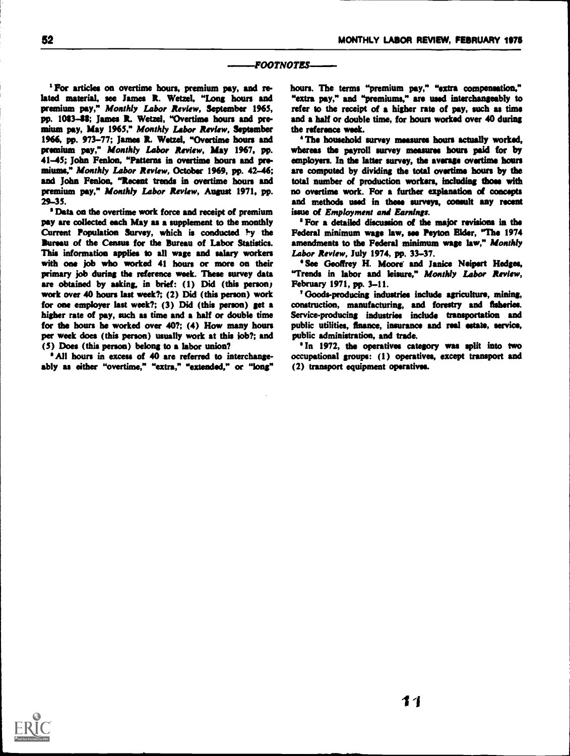### FOOTNOTES

<sup>1</sup> For articles on overtime hours, premium pay, and related material, see James R. Wetzel, "Long hours and premium pay," Monthly Labor Review, September 1965, pp. 1083-48; James R. Wetzel, "Overtime hours and premium pay, May 1965," Monthly Labor Review, September 1966, pp. 973-77; James R. Wetzel, "Overtime hours and premium pay," Monthly Labor Review, May 1967, pp. 41-45; John Fenton, "Patterns in overtime hours and pro. miums," Monthly Labor Review, October 1969, pp. 42-46; and Iohn Fenlon. "Recent trends in overtime hours and premium pay," Monthly Labor Review, August 1971, pp. 29-35.

' Data on the overtime work force and receipt of premium pay are collected each May as a supplement to the monthly Current Population Survey, which is conducted  $\frac{1}{2}y$  the Bureau of the Census for the Bureau of Labor Statistics. This information applies to all wage and salary workers with one job who worked 41 hours or more on their primary job during the reference week. These survey data are obtained by asking, in brief: (1) Did (this person) work over 40 hours last week?; (2) Did (this person) work for one employer last week?; (3) Did (this person) get a higher rate of pay, such as time and a half or double time for the hours he worked over 40?; (4) How many hours per week does (this person) usually work at this iob?; and (5) Does (this person) belong to a labor union?

All hours in excess of 40 are referred to interchangeably as either "overtime," "extra," "extended," or "long" hours. The terms "premium pay," "extra compensation." "extra pay," and "premiums," are used interchangeably to refer to the receipt of a higher rate of pay, such as time and a half or double time, for hours worked over 40 during the reference week.

The household survey measures hours actually worked, whereas the payroll survey measures hours paid for by employers. In the latter survey, the average overtime hours are computed by dividing the total overtime hours by the total number of production workers, including those with no overtime work. For a further explanation of concepts and methods used in these surveys, consult any recent issue of Employment and Earnings.

' For a detailed discussion of the major revisions in the Federal minimum wage law, see Peyton Elder, "The 1974 amendments to the Federal minimum wage law." Monthly Labor Review, July 1974, pp. 33-37.

'See Geoffrey H. Moore and Janice Neipert Hedges, "Trends in labor and leisure," Monthly Labor Review, February 1971, pp. 3-11.

Goods-producing industries include agriculture, mining, construction, manufacturing, and forestry and fisheries. Service-producing industries include transportation and public utilities, finance, insurance and real estate, service, public administration, and trade.

In 1972, the operatives category was split into two occupational groups: (1) operatives, except transport and (2) transport equipment operatives.

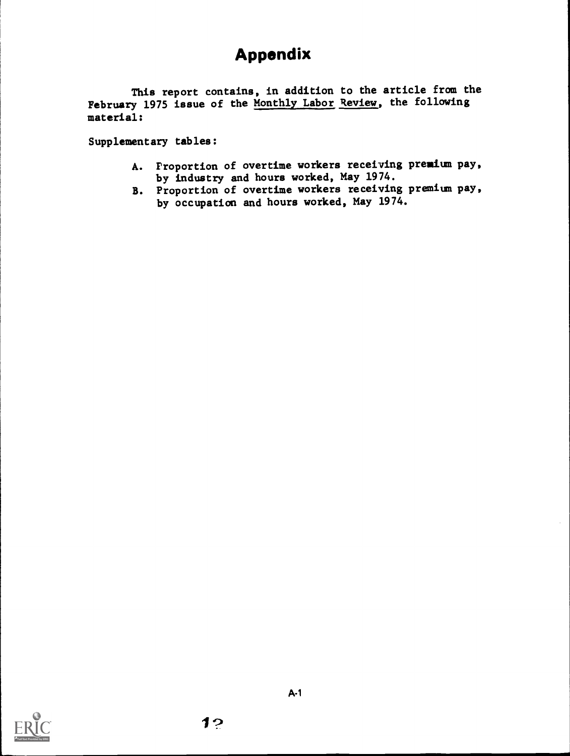# Appendix

This report contains, in addition to the article from the February 1975 issue of the Monthly Labor Review, the following material:

Supplementary tables:

- A. Proportion of overtime workers receiving premium pay, by industry and hours worked, May 1974.
- B. Proportion of overtime workers receiving premium pay, by occupation and hours worked, May 1974.

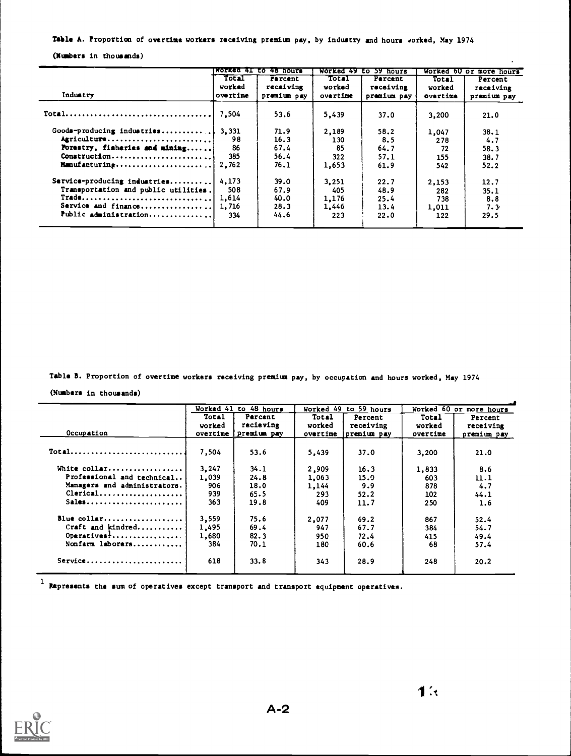### Table A. Proportion of overtime workers receiving premium pay, by industry and hours 4orked, May 1974

(Numbers in thousands)

|                                                                                          |                 | WORKED 41 to 48 hours       |                 | Worked 49 to 59 hours       |                 | Worked 60 or more hours |
|------------------------------------------------------------------------------------------|-----------------|-----------------------------|-----------------|-----------------------------|-----------------|-------------------------|
|                                                                                          | Total<br>worked | <b>Percent</b><br>receiving | Total<br>worked | <b>Percent</b><br>receiving | Total<br>worked | Percent<br>receiving    |
| Industry                                                                                 | overtime        | premium pay                 | overtime        | premium pay                 | overtime        | premium pay             |
| $Total \ldots \ldots \ldots \ldots \ldots \ldots \ldots \ldots \ldots \ldots$            | 7.504           | 53.6                        | 5,439           | 37.0                        | 3,200           | 21.0                    |
| Goods-producing industries                                                               | 3.331           | 71.9                        | 2,189           | 58.2                        | 1,047           | 38.1                    |
| Agriculture                                                                              | 98              | 16.3                        | 130             | 8.5                         | 278             | 4.7                     |
| Forestry, fisheries and mining                                                           | 86              | 67.4                        | 85              | 64.7                        | 72              | 58.3                    |
| Construction                                                                             | 385             | 56.4                        | 322             | 57.1                        | 155             | 38.7                    |
|                                                                                          | 2,762           | 76.1                        | 1,653           | 61.9                        | 542             | 52.2                    |
| Service-producing industries                                                             | 4.173           | 39.0                        | 3.251           | 22.7                        | 2,153           | 12.7                    |
| Transportation and public utilities.                                                     | 508             | 67.9                        | 405             | 48.9                        | 282             | 35.1                    |
| $\mathtt{Trade} \dots \dots \dots \dots \dots \dots \dots \dots \dots \dots \dots \dots$ | 1.614           | 40.0                        | 1,176           | 25.4                        | 738             | 8.8                     |
| Service and finance                                                                      | 1,716           | 28.3                        | 1,446           | 13.4                        | 1,011           | 7.3                     |
| Public administration                                                                    | 334             | 44.6                        | 223             | 22.0                        | 122             | 29.5                    |

Table B. Proportion of overtime workers receiving premium pay, by occupation and hours worked, May 1974

(Numbers in thousands)

|                                                   | to 48 hours<br>Worked 41 |                        | Worked 49 | to 59 hours |          | Worked 60 or more hours |
|---------------------------------------------------|--------------------------|------------------------|-----------|-------------|----------|-------------------------|
|                                                   | Total                    | Percent                | Total     | Percent     | Total    | Percent                 |
|                                                   | vorked                   | recieving              | worked    | receiving   | worked   | receiving               |
| Occupation                                        |                          | overtime [ premium pay | overtime  | premium pay | overtime | premium pay             |
|                                                   |                          |                        |           |             |          |                         |
| $Total$                                           | 7.504                    | 53.6                   | 5,439     | 37.0        | 3,200    | 21.0                    |
|                                                   |                          |                        |           |             |          |                         |
| White collar                                      | 3.247                    | 34.1                   | 2,909     | 16.3        | 1,833    | 8.6                     |
| Professional and technical                        | 1,039                    | 24.8                   | 1,063     | 15.9        | 603      | 11.1                    |
| Managers and administrators.                      | 906                      | 18.0                   | 1,144     | 9.9         | 878      | 4.7                     |
| Clerical                                          | 939                      | 65.5                   | 293       | 52.2        | 102      | 44.1                    |
| $Sales \ldots \ldots \ldots \ldots \ldots \ldots$ | 363                      | 19.8                   | 409       | 11.7        | 250      | 1.6                     |
| Blue collar                                       |                          |                        |           |             |          |                         |
|                                                   | 3,559                    | 75.6                   | 2,077     | 69.2        | 867      | 52.4                    |
| Craft and kindred                                 | 1,495                    | 69.4                   | 947       | 67.7        | 384      | 54.7                    |
| Operatives:                                       | 1,680                    | 82.3                   | 950       | 72.4        | 415      | 49.4                    |
| Nonfarm laborers                                  | 384                      | 70.1                   | 180       | 60.6        | 68       | 57.4                    |
| Service                                           | 618                      | 33.8                   | 343       | 28.9        | 248      | 20.2                    |

 $1$  Represents the sum of operatives except transport and transport equipment operatives.